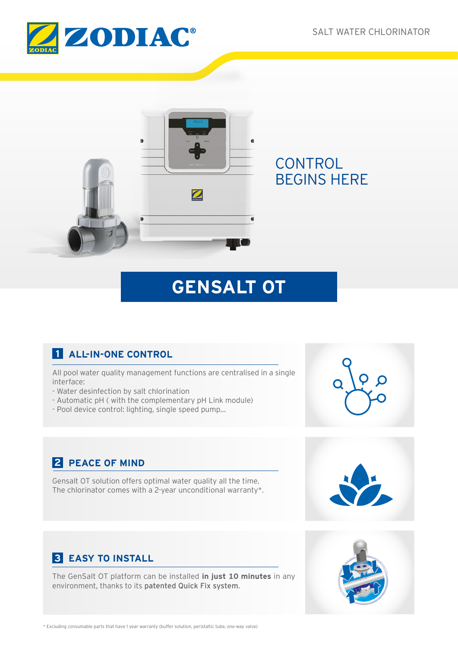



# **GENSALT OT**

# **1 ALL-IN-ONE CONTROL**

All pool water quality management functions are centralised in a single interface:

- Water desinfection by salt chlorination
- Automatic pH ( with the complementary pH Link module)
- Pool device control: lighting, single speed pump...



# **2 PEACE OF MIND**

Gensalt OT solution offers optimal water quality all the time. The chlorinator comes with a 2-year unconditional warranty\*.



# **3 EASY TO INSTALL**

The GenSalt OT platform can be installed **in just 10 minutes** in any environment, thanks to its patented Quick Fix system.